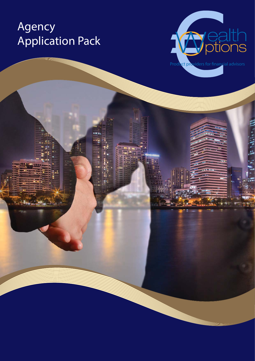# Agency Application Pack

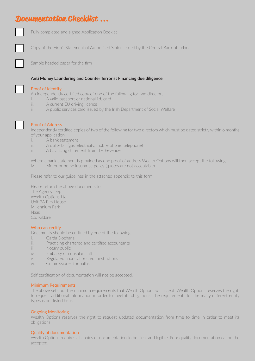### **Documentation Checklist ...**



Fully completed and signed Application Booklet

Copy of the Firm's Statement of Authorised Status issued by the Central Bank of Ireland

Sample headed paper for the firm

#### **Anti Money Laundering and Counter Terrorist Financing due diligence**

#### Proof of Identity

An independently certified copy of one of the following for two directors:

- i. A valid passport or national i.d. card
- ii. A current EU driving licence
- iii. A public services card issued by the Irish Department of Social Welfare



#### Proof of Address

Independently certified copies of two of the following for two directors which must be dated strictly within 6 months of your application:

- i. A bank statement
- ii. A utility bill (gas, electricity, mobile phone, telephone)
- iii. A balancing statement from the Revenue

Where a bank statement is provided as one proof of address Wealth Options will then accept the following: iv. Motor or home insurance policy (quotes are not acceptable)

Please refer to our guidelines in the attached appendix to this form.

Please return the above documents to: The Agency Dept Wealth Options Ltd Unit 2A Elm House Millennium Park Naas Co. Kildare

#### Who can certify

Documents should be certified by one of the following:

- i. Garda Siochana
- ii. Practicing chartered and certified accountants
- iii. Notary public
- iv. Embassy or consular staff
- v. Regulated financial or credit institutions
- vi. Commissioner for oaths

Self certification of documentation will not be accepted.

#### Minimum Requirements

The above sets out the minimum requirements that Wealth Options will accept. Wealth Options reserves the right to request additional information in order to meet its obligations. The requirements for the many different entity types is not listed here.

#### Ongoing Monitoring

Wealth Options reserves the right to request updated documentation from time to time in order to meet its obligations.

#### Quality of documentation

Wealth Options requires all copies of documentation to be clear and legible. Poor quality documentation cannot be accepted.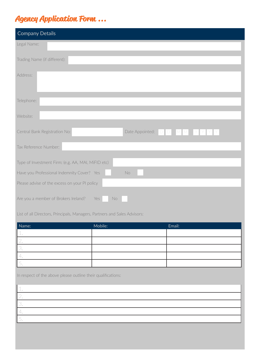## **Agency Application Form ...**

| <b>Company Details</b>                                         |  |  |
|----------------------------------------------------------------|--|--|
| Legal Name:                                                    |  |  |
| Trading Name (if different):                                   |  |  |
| Address:                                                       |  |  |
| Telephone:                                                     |  |  |
| Website:                                                       |  |  |
| Date Appointed: DDMMM<br>Central Bank Registration No:<br>YYYY |  |  |
| Tax Reference Number:                                          |  |  |
| Type of Investment Firm: (e.g. AA, MAI, MiFID etc)             |  |  |
| Have you Professional Indemnity Cover? Yes<br>No               |  |  |
| Please advise of the excess on your PI policy                  |  |  |
| Are you a member of Brokers Ireland?<br>Yes<br>No.             |  |  |

List of all Directors, Principals, Managers, Partners and Sales Advisors:

| Name:              | Mobile: | Email: |
|--------------------|---------|--------|
| $\perp$ .          |         |        |
| $\leftharpoonup$ . |         |        |
|                    |         |        |
| $-$                |         |        |
| ◡.                 |         |        |

In respect of the above please outline their qualifications: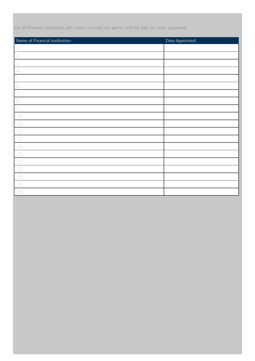List all Financial Institutions with whom you hold any agency and the date you were appointed:

| Name of Financial Institution: | Date Appointed: |
|--------------------------------|-----------------|
| $\mathbb{1}.$                  |                 |
| $\overline{2}$ .               |                 |
| 3.                             |                 |
| 4.                             |                 |
| 5.                             |                 |
| 6.                             |                 |
| $\overline{7}$ .               |                 |
| 8.                             |                 |
| 9.                             |                 |
| $10.$                          |                 |
| $11.$                          |                 |
| 12.                            |                 |
| 13.                            |                 |
| 14.                            |                 |
| 15.                            |                 |
| 16.                            |                 |
| $17.$                          |                 |
| 18.                            |                 |
| 19.                            |                 |
| 20.                            |                 |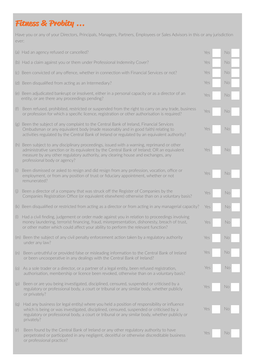## **Fitness & Probity ...**

Have you or any of your Directors, Principals, Managers, Partners, Employees or Sales Advisors in this or any jurisdiction ever:

|           | (a) Had an agency refused or cancelled?                                                                                                                                                                                                                                                                       | Yes | No |
|-----------|---------------------------------------------------------------------------------------------------------------------------------------------------------------------------------------------------------------------------------------------------------------------------------------------------------------|-----|----|
|           | (b) Had a claim against you or them under Professional Indemnity Cover?                                                                                                                                                                                                                                       | Yes | No |
|           | (c) Been convicted of any offence, whether in connection with Financial Services or not?                                                                                                                                                                                                                      | Yes | No |
|           | (d) Been disqualified from acting as an Intermediary?                                                                                                                                                                                                                                                         | Yes | No |
|           | (e) Been adjudicated bankrupt or insolvent, either in a personal capacity or as a director of an<br>entity, or are there any proceedings pending?                                                                                                                                                             | Yes | No |
| (f)       | Been refused, prohibited, restricted or suspended from the right to carry on any trade, business<br>or profession for which a specific licence, registration or other authorisation is required?                                                                                                              | Yes | No |
|           | (g) Been the subject of any complaint to the Central Bank of Ireland, Financial Services<br>Ombudsman or any equivalent body (made reasonably and in good faith) relating to<br>activities regulated by the Central Bank of Ireland or regulated by an equivalent authority?                                  | Yes | No |
|           | (h) Been subject to any disciplinary proceedings, issued with a warning, reprimand or other<br>administrative sanction or its equivalent by the Central Bank of Ireland; OR an equivalent<br>measure by any other regulatory authority, any clearing house and exchanges, any<br>professional body or agency? | Yes | No |
| (i)       | Been dismissed or asked to resign and did resign from any profession, vocation, office or<br>employment, or from any position of trust or fiduciary appointment, whether or not<br>remunerated?                                                                                                               | Yes | No |
| (j)       | Been a director of a company that was struck off the Register of Companies by the<br>Companies Registration Office (or equivalent elsewhere) otherwise than on a voluntary basis?                                                                                                                             | Yes | No |
|           | (k) Been disqualified or restricted from acting as a director or from acting in any managerial capacity?                                                                                                                                                                                                      | Yes | No |
| $(\vert)$ | Had a civil finding, judgement or order made against you in relation to proceedings involving<br>money laundering, terrorist financing, fraud, misrepresentation, dishonesty, breach of trust,<br>or other matter which could affect your ability to perform the relevant function?                           | Yes | No |
|           | (m) Been the subject of any civil penalty enforcement action taken by a regulatory authority<br>under any law?                                                                                                                                                                                                | Yes | No |
| (n)       | Been untruthful or provided false or misleading information to the Central Bank of Ireland<br>or been uncooperative in any dealings with the Central Bank of Ireland?                                                                                                                                         | Yes | No |
| (O)       | As a sole trader or a director, or a partner of a legal entity, been refused registration,<br>authorisation, membership or licence been revoked, otherwise than on a voluntary basis?                                                                                                                         | Yes | No |
| (p)       | Been or are you being investigated, disciplined, censured, suspended or criticised by a<br>regulatory or professional body, a court or tribunal or any similar body, whether publicly<br>or privately?                                                                                                        | Yes | No |
| (q)       | Had any business (or legal entity) where you held a position of responsibility or influence<br>which is being or was investigated, disciplined, censured, suspended or criticised by a<br>regulatory or professional body, a court or tribunal or any similar body, whether publicly or<br>privately?         | Yes | No |
| (r)       | Been found by the Central Bank of Ireland or any other regulatory authority to have<br>perpetrated or participated in any negligent, deceitful or otherwise discreditable business<br>or professional practice?                                                                                               | Yes | No |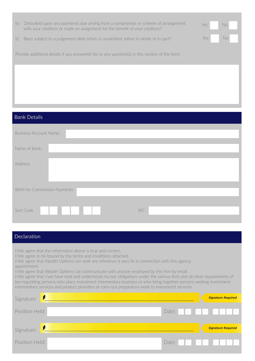| Defaulted upon any payments due arising from a compromise or scheme of arrangement<br>(S)<br>with your creditors or made an assignment for the benefit of your creditors? | Yes | No. |
|---------------------------------------------------------------------------------------------------------------------------------------------------------------------------|-----|-----|
| Been subject to a judgement debt which is unsatisfied, either in whole or in part?<br>(t)                                                                                 | Yes | No  |
| Provide additional details if you answered Yes to any question(s) in this section of the form:                                                                            |     |     |
|                                                                                                                                                                           |     |     |
|                                                                                                                                                                           |     |     |
|                                                                                                                                                                           |     |     |
| <b>Bank Details</b>                                                                                                                                                       |     |     |

| <b>Business Account Name:</b> |            |
|-------------------------------|------------|
| Name of Bank:                 |            |
| Address:                      |            |
|                               |            |
| IBAN for Commission Payments  |            |
| Sort Code<br>$\sim$           | <b>BIC</b> |
|                               |            |

### **Declaration**

í

I/We agree that the information above is true and correct.

I/We agree to be bound by the terms and conditions attached.

I/We agree that Wealth Options can seek any reference it sees fit in connection with this agency appointment.

I/We agree that Wealth Options can communicate with anyone employed by this firm by email.

I/We agree that I/we have read and understood my/our obligations under the various Acts and all other requirements of law regulating persons who place investment intermediary business or who bring together persons seeking investment intermediary services and product providers or carry out preparatory work to investment services.

| Signature:     | <b>Signature Required</b> |
|----------------|---------------------------|
| Position Held: | Date: DD MMYYYYY          |
| Signature:     | <b>Signature Required</b> |
| Position Held: | Date: D D M M Y Y Y Y     |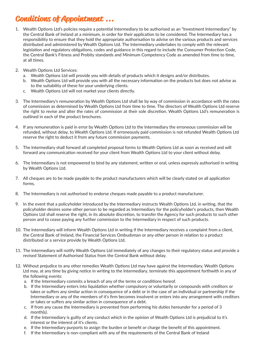### **Conditions of Appointment ...**

- 1. Wealth Options Ltd's policies require a potential Intermediary to be authorised as an "Investment Intermediary" by the Central Bank of Ireland at a minimum, in order for their application to be considered. The Intermediary has a responsibility to ensure that they hold the appropriate authorisation to advise on the various products and services distributed and administered by Wealth Options Ltd. The Intermediary undertakes to comply with the relevant legislation and regulatory obligations, codes and guidance in this regard to include the Consumer Protection Code, the Central Bank's Fitness and Probity standards and Minimum Competency Code as amended from time to time, at all times.
- 2. Wealth Options Ltd Services:
	- a. Wealth Options Ltd will provide you with details of products which it designs and/or distributes.
	- b. Wealth Options Ltd will provide you with all the necessary information on the products but does not advise as to the suitability of these for your underlying clients.
	- c. Wealth Options Ltd will not market your clients directly.
- 3. The Intermediary's remuneration by Wealth Options Ltd shall be by way of commission in accordance with the rates of commission as determined by Wealth Options Ltd from time to time. The directors of Wealth Options Ltd reserve the right to revise and alter the rates of commission at their sole discretion. Wealth Options Ltd's remuneration is outlined in each of the product brochures.
- 4. If any remuneration is paid in error by Wealth Options Ltd to the Intermediary the erroneous commission will be refunded, without delay, to Wealth Options Ltd. If erroneously paid commission is not refunded Wealth Options Ltd reserve the right to deduct it from any future commission payments.
- 5. The Intermediary shall forward all completed proposal forms to Wealth Options Ltd as soon as received and will forward any communication received for your client from Wealth Options Ltd to your client without delay.
- 6. The Intermediary is not empowered to bind by any statement, written or oral, unless expressly authorised in writing by Wealth Options Ltd.
- 7. All cheques are to be made payable to the product manufacturers which will be clearly stated on all application forms.
- 8. The Intermediary is not authorised to endorse cheques made payable to a product manufacturer.
- 9. In the event that a policyholder introduced by the Intermediary instructs Wealth Options Ltd, in writing, that the policyholder desires some other person to be regarded as Intermediary for the policyholder's products, then Wealth Options Ltd shall reserve the right, in its absolute discretion, to transfer the Agency for such products to such other person and to cease paying any further commission to the Intermediary in respect of such products.
- 10. The Intermediary will inform Wealth Options Ltd in writing if the Intermediary receives a complaint from a client, the Central Bank of Ireland, the Financial Services Ombudsman or any other person in relation to a product distributed or a service provide by Wealth Options Ltd.
- 11. The Intermediary will notify Wealth Options Ltd immediately of any changes to their regulatory status and provide a revised Statement of Authorised Status from the Central Bank without delay.
- 12. Without prejudice to any other remedies Wealth Options Ltd may have against the Intermediary, Wealth Options Ltd may, at any time by giving notice in writing to the Intermediary, terminate this appointment forthwith in any of the following events:
	- a. If the Intermediary commits a breach of any of the terms or conditions hereof.
	- b. If the Intermediary enters into liquidation whether compulsory or voluntarily or compounds with creditors or takes or suffers any similar action in consequence of a debt or in the case of an individual or partnership if the Intermediary or any of the members of it's firm becomes insolvent or enters into any arrangement with creditors or takes or suffers any similar action in consequence of a debt.
	- c. If from any cause the Intermediary is prevented from performing his duties hereunder for a period of 3 month(s).
	- d. If the Intermediary is guilty of any conduct which in the opinion of Wealth Options Ltd is prejudicial to it's interest or the interest of it's clients.
	- e. If the Intermediary purports to assign the burden or benefit or charge the benefit of this appointment.
	- f. If the Intermediary is non-compliant with any of the requirements of the Central Bank of Ireland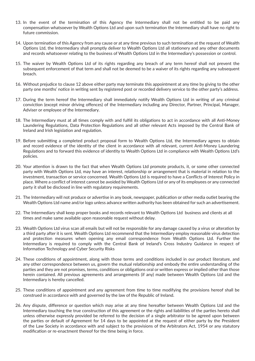- 13. In the event of the termination of this Agency the Intermediary shall not be entitled to be paid any compensation whatsoever by Wealth Options Ltd and upon such termination the Intermediary shall have no right to future commission.
- 14. Upon termination of this Agency from any cause or at any time previous to such termination at the request of Wealth Options Ltd, the Intermediary shall promptly deliver to Wealth Options Ltd all stationery and any other documents and records whatsoever relating to the business of Wealth Options Ltd in the Intermediary's possession or control.
- 15. The waiver by Wealth Options Ltd of its rights regarding any breach of any term hereof shall not prevent the subsequent enforcement of that term and shall not be deemed to be a waiver of its rights regarding any subsequent breach.
- 16. Without prejudice to clause 12 above either party may terminate this appointment at any time by giving to the other party one months' notice in writing sent by registered post or recorded delivery service to the other party's address.
- 17. During the term hereof the Intermediary shall immediately notify Wealth Options Ltd in writing of any criminal conviction (except minor driving offences) of the Intermediary including any Director, Partner, Principal, Manager, Adviser or employee of the Intermediary.
- 18. The Intermediary must at all times comply with and fulfill its obligations to act in accordance with all Anti-Money Laundering Regulations, Data Protection Regulations and all other relevant Acts imposed by the Central Bank of Ireland and Irish legislation and regulation.
- 19. Before submitting a completed product proposal form to Wealth Options Ltd, the Intermediary agrees to obtain and record evidence of the identity of the client in accordance with all relevant, current Anti-Money Laundering Regulations and to forward this evidence of identity to Wealth Options Ltd in compliance with Wealth Options Ltd's policies.
- 20. Your attention is drawn to the fact that when Wealth Options Ltd promote products, it, or some other connected party with Wealth Options Ltd, may have an interest, relationship or arrangement that is material in relation to the investment, transaction or service concerned. Wealth Options Ltd is required to have a Conflicts of Interest Policy in place. Where a conflict of interest cannot be avoided by Wealth Options Ltd or any of its employees or any connected party it shall be disclosed in line with regulatory requirements.
- 21. The Intermediary will not produce or advertise in any book, newspaper, publication or other media outlet bearing the Wealth Options Ltd name and/or logo unless advance written authority has been obtained for such an advertisement.
- 22. The Intermediary shall keep proper books and records relevant to Wealth Options Ltd business and clients at all times and make same available upon reasonable request without delay.
- 23. Wealth Options Ltd virus scan all emails but will not be responsible for any damage caused by a virus or alteration by a third party after it is sent. Wealth Options Ltd recommend that the Intermediary employ reasonable virus detection and protection measures when opening any email correspondence from Wealth Options Ltd. Further the Intermediary is required to comply with the Central Bank of Ireland's Cross Industry Guidance in respect of Information Technology and Cyber Security Risks
- 24. These conditions of appointment, along with those terms and conditions included in our product literature, and any other correspondence between us, govern the mutual relationship and embody the entire understanding of the parties and they are not promises, terms, conditions or obligations oral or written express or implied other than those herein contained. All previous agreements and arrangements (if any) made between Wealth Options Ltd and the Intermediary is hereby cancelled.
- 25. These conditions of appointment and any agreement from time to time modifying the provisions hereof shall be construed in accordance with and governed by the law of the Republic of Ireland.
- 26. Any dispute, difference or question which may arise at any time hereafter between Wealth Options Ltd and the Intermediary touching the true construction of this agreement or the rights and liabilities of the parties hereto shall unless otherwise expressly provided be referred to the decision of a single arbitrator to be agreed upon between the parties or default of Agreement for 14 days to be appointed at the request of either party by the President of the Law Society in accordance with and subject to the provisions of the Arbitrators Act, 1954 or any statutory modification or re-enactment thereof for the time being in force.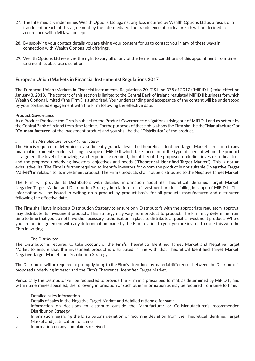- 27. The Intermediary indemnifies Wealth Options Ltd against any loss incurred by Wealth Options Ltd as a result of a fraudulent breach of this agreement by the Intermediary. The fraudulence of such a breach will be decided in accordance with civil law concepts.
- 28. By supplying your contact details you are giving your consent for us to contact you in any of these ways in connection with Wealth Options Ltd offerings.
- 29. Wealth Options Ltd reserves the right to vary all or any of the terms and conditions of this appointment from time to time at its absolute discretion.

#### **European Union (Markets in Financial Instruments) Regulations 2017**

The European Union (Markets in Financial Instruments) Regulations 2017 S.I. no 375 of 2017 ("MIFID II") take effect on January 3, 2018. The content of this section is limited to the Central Bank of Ireland regulated MiFID II business for which Wealth Options Limited ("the Firm") is authorised. Your understanding and acceptance of the content will be understood by your continued engagement with the Firm following the effective date.

#### **Product Governance**

As a Product Producer the Firm is subject to the Product Governance obligations arising out of MiFID II and as set out by the Central Bank of Ireland from time to time. For the purposes of these obligations the Firm shall be the **"Manufacturer"** or **"Co-manufacturer"** of the investment product and you shall be the **"Distributor"** of the product.

#### *i. The Manufacturer or Co-Manufacturer*

The Firm is required to determine at a sufficiently granular level the Theoretical Identified Target Market in relation to any financial instrument/products falling in scope of MiFID II which takes account of the type of client at whom the product is targeted, the level of knowledge and experience required, the ability of the proposed underling investor to bear loss and the proposed underlying investors' objectives and needs **("Theoretical Identified Target Market")**. This is not an exhaustive list. The Firm is further required to identify investors for whom the product is not suitable **("Negative Target Market")** in relation to its investment product. The Firm's products shall not be distributed to the Negative Target Market.

The Firm will provide its Distributors with detailed information about its Theoretical Identified Target Market, Negative Target Market and Distribution Strategy in relation to an investment product falling in scope of MiFID II. This information will be issued in writing on a product by product basis, for all products manufactured and distributed following the effective date.

The Firm shall have in place a Distribution Strategy to ensure only Distributor's with the appropriate regulatory approval may distribute its investment products. This strategy may vary from product to product. The Firm may determine from time to time that you do not have the necessary authorisation in place to distribute a specific investment product. Where you are not in agreement with any determination made by the Firm relating to you, you are invited to raise this with the Firm in writing.

#### *ii. The Distributor*

The Distributor is required to take account of the Firm's Theoretical Identified Target Market and Negative Target Market to ensure that the investment product is distributed in line with that Theoretical Identified Target Market, Negative Target Market and Distribution Strategy.

The Distributor will be required to promptly bring to the Firm's attention any material differences between the Distributor's proposed underlying investor and the Firm's Theoretical Identified Target Market.

Periodically the Distributor will be requested to provide the Firm in a prescribed format, as determined by MiFID II, and within timeframes specified, the following information or such other information as may be required from time to time:

- i. Detailed sales information
- ii. Details of sales in the Negative Target Market and detailed rationale for same
- iii. Information on decisions to distribute outside the Manufacturer or Co-Manufacturer's recommended Distribution Strategy
- iv. Information regarding the Distributor's deviation or recurring deviation from the Theoretical Identified Target Market and justification for same.
- v. Information on any complaints received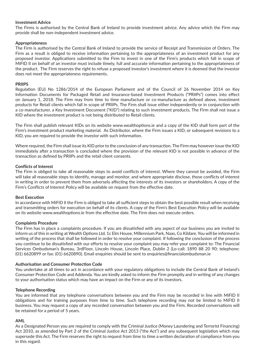#### **Investment Advice**

The Firms is authorised by the Central Bank of Ireland to provide investment advice. Any advice which the Firm may provide shall be non-independent investment advice.

#### **Appropriateness**

The Firm is authorised by the Central Bank of Ireland to provide the service of Receipt and Transmission of Orders. The Firm as a result is obliged to receive information pertaining to the appropriateness of an investment product for any proposed investor. Applications submitted to the Firm to invest in one of the Firm's products which fall in scope of MiFID II on behalf of an investor must include timely, full and accurate information pertaining to the appropriateness of the product. The Firm reserves the right to refuse a proposed investor's investment where it is deemed that the investor does not meet the appropriateness requirements.

#### **PRIIPS**

Regulation (EU) No 1286/2014 of the European Parliament and of the Council of 26 November 2014 on Key Information Documents for Packaged Retail and Insurance-based Investment Products ("PRIIPs") comes into effect on January 1, 2018. The Firm may from time to time manufacture or co-manufacture as defined above, investment products for Retail clients which fall in scope of PRIIPs. The Firm shall issue either independently or in conjunction with a co-manufacturer, a Key Investment Document ("KID") relating to such investment products. The Firm shall not issue a KID where the investment product is not being distributed to Retail clients.

The Firm shall publish relevant KIDs on its website www.wealthoptions.ie and a copy of the KID shall form part of the Firm's investment product marketing material. As Distributor, where the Firm issues a KID, or subsequent revisions to a KID, you are required to provide the investor with such information.

Where required, the Firm shall issue its KID prior to the conclusion of any transaction. The Firm may however issue the KID immediately after a transaction is concluded where the provision of the relevant KID is not possible in advance of the transaction as defined by PRIIPs and the retail client consents.

#### **Conflicts of Interest**

The Firm is obliged to take all reasonable steps to avoid conflicts of interest. Where they cannot be avoided, the Firm will take all reasonable steps to identify, manage and monitor, and where appropriate disclose, those conflicts of interest in writing in order to prevent them from adversely affecting the interests of its investors or shareholders. A copy of the Firm's Conflicts of Interest Policy will be available on request from the effective date.

#### **Best Execution**

In accordance with MiFID II the Firm is obliged to take all sufficient steps to obtain the best possible result when receiving and transmitting orders for execution on behalf of its clients. A copy of the Firm's Best Execution Policy will be available on its website www.wealthoptions.ie from the effective date. The Firm does not execute orders.

#### **Complaints Procedure**

The Firm has in place a complaints procedure. If you are dissatisfied with any aspect of our business you are invited to inform us of this in writing at Wealth Options Ltd, 1c Elm House, Millennium Park, Naas, Co Kildare. You will be informed in writing of the process that shall be followed in order to resolve your complaint. If following the conclusion of the process you continue to be dissatisfied with our efforts to resolve your complaint you may refer your complaint to: The Financial Services Ombudsman's Bureau, 3rdFloor, Lincoln House, Lincoln Place, Dublin 2 (Lo-call: 1890 88 20 90; telephone: (01) 6620899 or fax: (01) 6620890). Email enquiries should be sent to enquiries@financialombudsman.ie

#### **Authorisation and Consumer Protection Code**

You undertake at all times to act in accordance with your regulatory obligations to include the Central Bank of Ireland's Consumer Protection Code and Addenda. You are kindly asked to inform the Firm promptly and in writing of any changes to your authorisation status which may have an impact on the Firm or any of its investors.

#### **Telephone Recording**

You are informed that any telephone conversations between you and the Firm may be recorded in line with MiFID II obligations and for training purposes from time to time. Such telephone recording may not be limited to MiFID II business. You may request a copy of any recorded conversation between you and the Firm. Recorded conversations will be retained for a period of 5 years.

#### **AML**

As a Designated Person you are required to comply with the Criminal Justice (Money Laundering and Terrorist Financing) Act 2010, as amended by Part 2 of the Criminal Justice Act 2013 ("the Act") and any subsequent legislation which may supersede this Act. The Firm reserves the right to request from time to time a written declaration of compliance from you in this regard.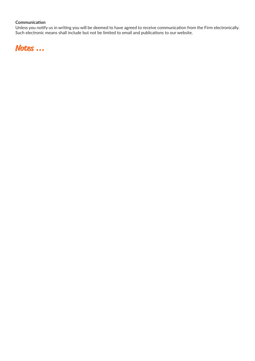#### **Communication**

Unless you notify us in writing you will be deemed to have agreed to receive communication from the Firm electronically. Such electronic means shall include but not be limited to email and publications to our website.